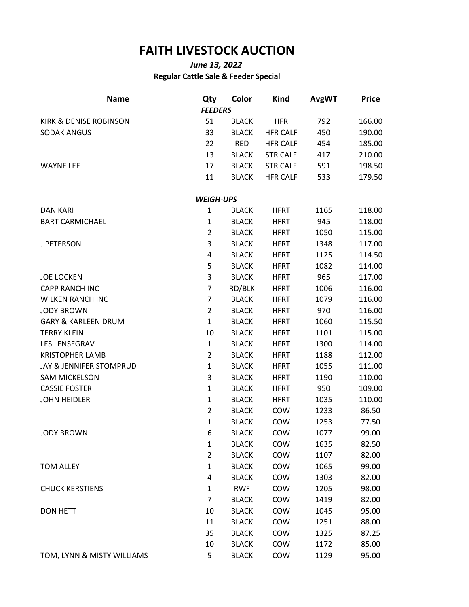## **FAITH LIVESTOCK AUCTION**

## *June 13, 2022* **Regular Cattle Sale & Feeder Special**

| <b>Name</b>                    | Qty              | Color        | <b>Kind</b>     | <b>AvgWT</b> | <b>Price</b> |
|--------------------------------|------------------|--------------|-----------------|--------------|--------------|
|                                | <b>FEEDERS</b>   |              |                 |              |              |
| KIRK & DENISE ROBINSON         | 51               | <b>BLACK</b> | <b>HFR</b>      | 792          | 166.00       |
| <b>SODAK ANGUS</b>             | 33               | <b>BLACK</b> | <b>HFR CALF</b> | 450          | 190.00       |
|                                | 22               | <b>RED</b>   | <b>HFR CALF</b> | 454          | 185.00       |
|                                | 13               | <b>BLACK</b> | <b>STR CALF</b> | 417          | 210.00       |
| <b>WAYNE LEE</b>               | 17               | <b>BLACK</b> | <b>STR CALF</b> | 591          | 198.50       |
|                                | 11               | <b>BLACK</b> | <b>HFR CALF</b> | 533          | 179.50       |
|                                | <b>WEIGH-UPS</b> |              |                 |              |              |
| <b>DAN KARI</b>                | $\mathbf{1}$     | <b>BLACK</b> | <b>HFRT</b>     | 1165         | 118.00       |
| <b>BART CARMICHAEL</b>         | $\mathbf 1$      | <b>BLACK</b> | <b>HFRT</b>     | 945          | 118.00       |
|                                | $\overline{2}$   | <b>BLACK</b> | <b>HFRT</b>     | 1050         | 115.00       |
| J PETERSON                     | 3                | <b>BLACK</b> | <b>HFRT</b>     | 1348         | 117.00       |
|                                | 4                | <b>BLACK</b> | <b>HFRT</b>     | 1125         | 114.50       |
|                                | 5                | <b>BLACK</b> | <b>HFRT</b>     | 1082         | 114.00       |
| <b>JOE LOCKEN</b>              | 3                | <b>BLACK</b> | <b>HFRT</b>     | 965          | 117.00       |
| <b>CAPP RANCH INC</b>          | $\overline{7}$   | RD/BLK       | <b>HFRT</b>     | 1006         | 116.00       |
| <b>WILKEN RANCH INC</b>        | $\overline{7}$   | <b>BLACK</b> | <b>HFRT</b>     | 1079         | 116.00       |
| <b>JODY BROWN</b>              | $\overline{2}$   | <b>BLACK</b> | <b>HFRT</b>     | 970          | 116.00       |
| <b>GARY &amp; KARLEEN DRUM</b> | $\mathbf{1}$     | <b>BLACK</b> | <b>HFRT</b>     | 1060         | 115.50       |
| <b>TERRY KLEIN</b>             | 10               | <b>BLACK</b> | <b>HFRT</b>     | 1101         | 115.00       |
| LES LENSEGRAV                  | $\mathbf{1}$     | <b>BLACK</b> | <b>HFRT</b>     | 1300         | 114.00       |
| <b>KRISTOPHER LAMB</b>         | $\overline{2}$   | <b>BLACK</b> | <b>HFRT</b>     | 1188         | 112.00       |
| JAY & JENNIFER STOMPRUD        | $\mathbf{1}$     | <b>BLACK</b> | <b>HFRT</b>     | 1055         | 111.00       |
| <b>SAM MICKELSON</b>           | 3                | <b>BLACK</b> | <b>HFRT</b>     | 1190         | 110.00       |
| <b>CASSIE FOSTER</b>           | $\mathbf{1}$     | <b>BLACK</b> | <b>HFRT</b>     | 950          | 109.00       |
| <b>JOHN HEIDLER</b>            | $\mathbf{1}$     | <b>BLACK</b> | <b>HFRT</b>     | 1035         | 110.00       |
|                                | $\overline{2}$   | <b>BLACK</b> | COW             | 1233         | 86.50        |
|                                | $\mathbf{1}$     | <b>BLACK</b> | COW             | 1253         | 77.50        |
| <b>JODY BROWN</b>              | 6                | <b>BLACK</b> | COW             | 1077         | 99.00        |
|                                | $\mathbf{1}$     | <b>BLACK</b> | COW             | 1635         | 82.50        |
|                                | $\overline{2}$   | <b>BLACK</b> | COW             | 1107         | 82.00        |
| <b>TOM ALLEY</b>               | $\mathbf{1}$     | <b>BLACK</b> | COW             | 1065         | 99.00        |
|                                | 4                | <b>BLACK</b> | COW             | 1303         | 82.00        |
| <b>CHUCK KERSTIENS</b>         | $\mathbf{1}$     | <b>RWF</b>   | COW             | 1205         | 98.00        |
|                                | 7                | <b>BLACK</b> | COW             | 1419         | 82.00        |
| DON HETT                       | 10               | <b>BLACK</b> | COW             | 1045         | 95.00        |
|                                | 11               | <b>BLACK</b> | COW             | 1251         | 88.00        |
|                                | 35               | <b>BLACK</b> | COW             | 1325         | 87.25        |
|                                | 10               | <b>BLACK</b> | COW             | 1172         | 85.00        |
| TOM, LYNN & MISTY WILLIAMS     | 5                | <b>BLACK</b> | COW             | 1129         | 95.00        |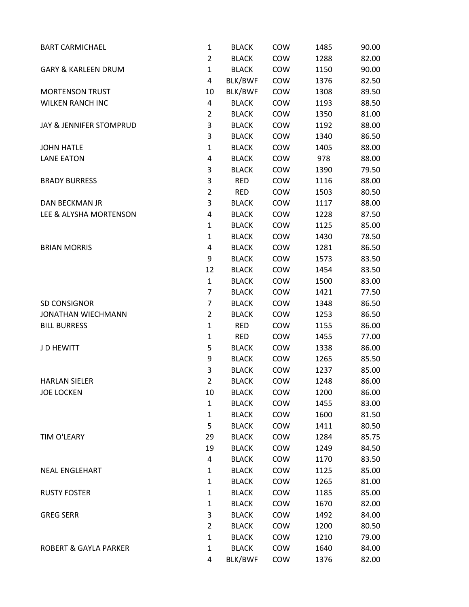| <b>BART CARMICHAEL</b>           | $\mathbf{1}$   | <b>BLACK</b> | COW | 1485 | 90.00 |
|----------------------------------|----------------|--------------|-----|------|-------|
|                                  | $\overline{2}$ | <b>BLACK</b> | COW | 1288 | 82.00 |
| <b>GARY &amp; KARLEEN DRUM</b>   | $\mathbf{1}$   | <b>BLACK</b> | COW | 1150 | 90.00 |
|                                  | 4              | BLK/BWF      | COW | 1376 | 82.50 |
| <b>MORTENSON TRUST</b>           | 10             | BLK/BWF      | COW | 1308 | 89.50 |
| <b>WILKEN RANCH INC</b>          | 4              | <b>BLACK</b> | COW | 1193 | 88.50 |
|                                  | $\overline{2}$ | <b>BLACK</b> | COW | 1350 | 81.00 |
| JAY & JENNIFER STOMPRUD          | 3              | <b>BLACK</b> | COW | 1192 | 88.00 |
|                                  | 3              | <b>BLACK</b> | COW | 1340 | 86.50 |
| <b>JOHN HATLE</b>                | $\mathbf{1}$   | <b>BLACK</b> | COW | 1405 | 88.00 |
| <b>LANE EATON</b>                | 4              | <b>BLACK</b> | COW | 978  | 88.00 |
|                                  | 3              | <b>BLACK</b> | COW | 1390 | 79.50 |
| <b>BRADY BURRESS</b>             | 3              | <b>RED</b>   | COW | 1116 | 88.00 |
|                                  | $\overline{2}$ | <b>RED</b>   | COW | 1503 | 80.50 |
| <b>DAN BECKMAN JR</b>            | 3              | <b>BLACK</b> | COW | 1117 | 88.00 |
| LEE & ALYSHA MORTENSON           | 4              | <b>BLACK</b> | COW | 1228 | 87.50 |
|                                  | $\mathbf{1}$   | <b>BLACK</b> | COW | 1125 | 85.00 |
|                                  | $\mathbf{1}$   | <b>BLACK</b> | COW | 1430 | 78.50 |
| <b>BRIAN MORRIS</b>              | 4              | <b>BLACK</b> | COW | 1281 | 86.50 |
|                                  | 9              | <b>BLACK</b> | COW | 1573 | 83.50 |
|                                  | 12             | <b>BLACK</b> | COW | 1454 | 83.50 |
|                                  | $\mathbf{1}$   | <b>BLACK</b> | COW | 1500 | 83.00 |
|                                  | 7              | <b>BLACK</b> | COW | 1421 | 77.50 |
| SD CONSIGNOR                     | 7              | <b>BLACK</b> | COW | 1348 | 86.50 |
| <b>JONATHAN WIECHMANN</b>        | $\overline{2}$ | <b>BLACK</b> | COW | 1253 | 86.50 |
| <b>BILL BURRESS</b>              | $\mathbf{1}$   | <b>RED</b>   | COW | 1155 | 86.00 |
|                                  | $\mathbf{1}$   | <b>RED</b>   | COW | 1455 | 77.00 |
| J D HEWITT                       | 5              | <b>BLACK</b> | COW | 1338 | 86.00 |
|                                  | 9              | <b>BLACK</b> | COW | 1265 | 85.50 |
|                                  | 3              | <b>BLACK</b> | COW | 1237 | 85.00 |
| <b>HARLAN SIELER</b>             | $\overline{2}$ | <b>BLACK</b> | COW | 1248 | 86.00 |
| <b>JOE LOCKEN</b>                | 10             | <b>BLACK</b> | COW | 1200 | 86.00 |
|                                  | $\mathbf{1}$   | <b>BLACK</b> | COW | 1455 | 83.00 |
|                                  | $\mathbf{1}$   | <b>BLACK</b> | COW | 1600 | 81.50 |
|                                  | 5              | <b>BLACK</b> | COW | 1411 | 80.50 |
| TIM O'LEARY                      | 29             | <b>BLACK</b> | COW | 1284 | 85.75 |
|                                  | 19             | <b>BLACK</b> | COW | 1249 | 84.50 |
|                                  | 4              | <b>BLACK</b> | COW | 1170 | 83.50 |
| <b>NEAL ENGLEHART</b>            | 1              | <b>BLACK</b> | COW | 1125 | 85.00 |
|                                  | 1              | <b>BLACK</b> | COW | 1265 | 81.00 |
| <b>RUSTY FOSTER</b>              | 1              | <b>BLACK</b> | COW | 1185 | 85.00 |
|                                  | 1              | <b>BLACK</b> | COW | 1670 | 82.00 |
| <b>GREG SERR</b>                 | 3              | <b>BLACK</b> | COW | 1492 | 84.00 |
|                                  | $\overline{2}$ | <b>BLACK</b> | COW | 1200 | 80.50 |
|                                  | 1              | <b>BLACK</b> | COW | 1210 | 79.00 |
| <b>ROBERT &amp; GAYLA PARKER</b> | $\mathbf{1}$   | <b>BLACK</b> | COW | 1640 | 84.00 |
|                                  | 4              | BLK/BWF      | COW | 1376 | 82.00 |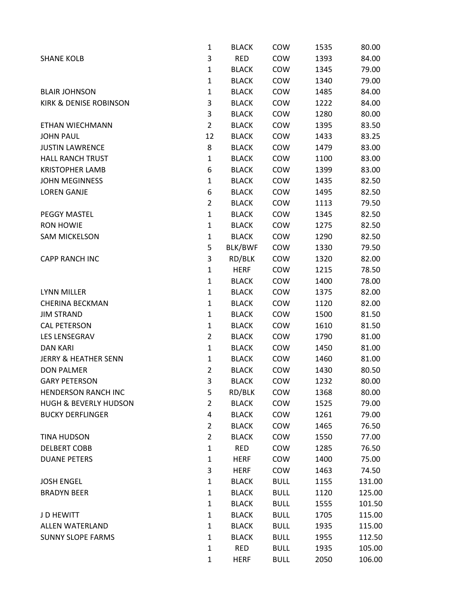|                                   | $\mathbf{1}$   | <b>BLACK</b> | COW         | 1535 | 80.00  |
|-----------------------------------|----------------|--------------|-------------|------|--------|
| <b>SHANE KOLB</b>                 | 3              | <b>RED</b>   | COW         | 1393 | 84.00  |
|                                   | $\mathbf{1}$   | <b>BLACK</b> | COW         | 1345 | 79.00  |
|                                   | 1              | <b>BLACK</b> | COW         | 1340 | 79.00  |
| <b>BLAIR JOHNSON</b>              | $\mathbf{1}$   | <b>BLACK</b> | COW         | 1485 | 84.00  |
| <b>KIRK &amp; DENISE ROBINSON</b> | 3              | <b>BLACK</b> | COW         | 1222 | 84.00  |
|                                   | 3              | <b>BLACK</b> | COW         | 1280 | 80.00  |
| ETHAN WIECHMANN                   | $\overline{2}$ | <b>BLACK</b> | COW         | 1395 | 83.50  |
| <b>JOHN PAUL</b>                  | 12             | <b>BLACK</b> | COW         | 1433 | 83.25  |
| <b>JUSTIN LAWRENCE</b>            | 8              | <b>BLACK</b> | COW         | 1479 | 83.00  |
| <b>HALL RANCH TRUST</b>           | $\mathbf{1}$   | <b>BLACK</b> | COW         | 1100 | 83.00  |
| <b>KRISTOPHER LAMB</b>            | 6              | <b>BLACK</b> | COW         | 1399 | 83.00  |
| <b>JOHN MEGINNESS</b>             | $\mathbf{1}$   | <b>BLACK</b> | COW         | 1435 | 82.50  |
| <b>LOREN GANJE</b>                | 6              | <b>BLACK</b> | COW         | 1495 | 82.50  |
|                                   | $\overline{2}$ | <b>BLACK</b> | COW         | 1113 | 79.50  |
| <b>PEGGY MASTEL</b>               | $\mathbf{1}$   | <b>BLACK</b> | COW         | 1345 | 82.50  |
| <b>RON HOWIE</b>                  | $\mathbf{1}$   | <b>BLACK</b> | COW         | 1275 | 82.50  |
| <b>SAM MICKELSON</b>              | $\mathbf{1}$   | <b>BLACK</b> | COW         | 1290 | 82.50  |
|                                   | 5              | BLK/BWF      | COW         | 1330 | 79.50  |
| <b>CAPP RANCH INC</b>             | 3              | RD/BLK       | COW         | 1320 | 82.00  |
|                                   | $\mathbf{1}$   | <b>HERF</b>  | COW         | 1215 | 78.50  |
|                                   | $\mathbf{1}$   | <b>BLACK</b> | COW         | 1400 | 78.00  |
| <b>LYNN MILLER</b>                | $\mathbf{1}$   | <b>BLACK</b> | COW         | 1375 | 82.00  |
| <b>CHERINA BECKMAN</b>            | $\mathbf{1}$   | <b>BLACK</b> | COW         | 1120 | 82.00  |
| <b>JIM STRAND</b>                 | $\mathbf{1}$   | <b>BLACK</b> | COW         | 1500 | 81.50  |
| <b>CAL PETERSON</b>               | 1              | <b>BLACK</b> | COW         | 1610 | 81.50  |
| LES LENSEGRAV                     | $\overline{2}$ | <b>BLACK</b> | COW         | 1790 | 81.00  |
| <b>DAN KARI</b>                   | $\mathbf{1}$   | <b>BLACK</b> | COW         | 1450 | 81.00  |
| <b>JERRY &amp; HEATHER SENN</b>   | $\mathbf{1}$   | <b>BLACK</b> | COW         | 1460 | 81.00  |
| <b>DON PALMER</b>                 | $\overline{2}$ | <b>BLACK</b> | COW         | 1430 | 80.50  |
| <b>GARY PETERSON</b>              | 3              | <b>BLACK</b> | COW         | 1232 | 80.00  |
| <b>HENDERSON RANCH INC</b>        | 5              | RD/BLK       | COW         | 1368 | 80.00  |
| <b>HUGH &amp; BEVERLY HUDSON</b>  | $\overline{2}$ | <b>BLACK</b> | COW         | 1525 | 79.00  |
| <b>BUCKY DERFLINGER</b>           | 4              | <b>BLACK</b> | COW         | 1261 | 79.00  |
|                                   | $\overline{2}$ | <b>BLACK</b> | COW         | 1465 | 76.50  |
| <b>TINA HUDSON</b>                | $\overline{2}$ | <b>BLACK</b> | COW         | 1550 | 77.00  |
| <b>DELBERT COBB</b>               | $\mathbf{1}$   | <b>RED</b>   | COW         | 1285 | 76.50  |
| <b>DUANE PETERS</b>               | $\mathbf{1}$   | <b>HERF</b>  | COW         | 1400 | 75.00  |
|                                   | 3              | <b>HERF</b>  | COW         | 1463 | 74.50  |
| <b>JOSH ENGEL</b>                 | $\mathbf{1}$   | <b>BLACK</b> | <b>BULL</b> | 1155 | 131.00 |
| <b>BRADYN BEER</b>                | $\mathbf{1}$   | <b>BLACK</b> | <b>BULL</b> | 1120 | 125.00 |
|                                   | $\mathbf{1}$   | <b>BLACK</b> | <b>BULL</b> | 1555 | 101.50 |
| J D HEWITT                        | 1              | <b>BLACK</b> | <b>BULL</b> | 1705 | 115.00 |
| ALLEN WATERLAND                   | $\mathbf{1}$   | <b>BLACK</b> | <b>BULL</b> | 1935 | 115.00 |
| <b>SUNNY SLOPE FARMS</b>          | $\mathbf{1}$   | <b>BLACK</b> | <b>BULL</b> | 1955 | 112.50 |
|                                   | $\mathbf{1}$   | <b>RED</b>   | <b>BULL</b> | 1935 | 105.00 |
|                                   | $\mathbf{1}$   | <b>HERF</b>  | <b>BULL</b> | 2050 | 106.00 |